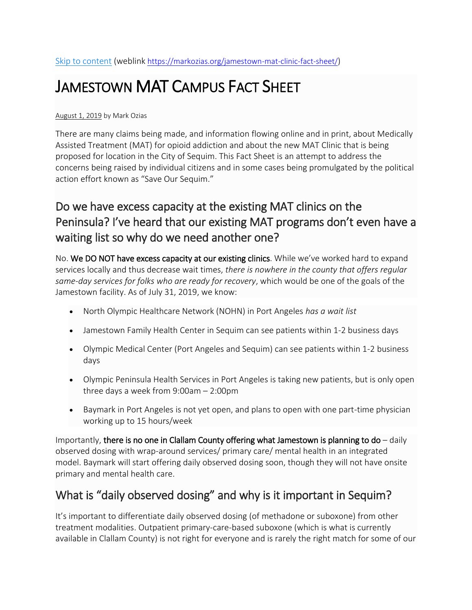# JAMESTOWN MAT CAMPUS FACT SHEET

#### [August](https://markozias.org/jamestown-mat-clinic-fact-sheet/) 1, 2019 by Mark [Ozias](https://markozias.org/author/axsanford4ozias/)

There are many claims being made, and information flowing online and in print, about Medically Assisted Treatment (MAT) for opioid addiction and about the new MAT Clinic that is being proposed for location in the City of Sequim. This Fact Sheet is an attempt to address the concerns being raised by individual citizens and in some cases being promulgated by the political action effort known as "Save Our Sequim."

# Do we have excess capacity at the existing MAT clinics on the Peninsula? I've heard that our existing MAT programs don't even have a waiting list so why do we need another one?

No. We DO NOT have excess capacity at our existing clinics. While we've worked hard to expand services locally and thus decrease wait times, *there is nowhere in the county that offers regular same-day services for folks who are ready for recovery*, which would be one of the goals of the Jamestown facility. As of July 31, 2019, we know:

- North Olympic Healthcare Network (NOHN) in Port Angeles *has a wait list*
- Jamestown Family Health Center in Sequim can see patients within 1-2 business days
- Olympic Medical Center (Port Angeles and Sequim) can see patients within 1-2 business days
- Olympic Peninsula Health Services in Port Angeles is taking new patients, but is only open three days a week from 9:00am – 2:00pm
- Baymark in Port Angeles is not yet open, and plans to open with one part-time physician working up to 15 hours/week

Importantly, there is no one in Clallam County offering what Jamestown is planning to  $do$  – daily observed dosing with wrap-around services/ primary care/ mental health in an integrated model. Baymark will start offering daily observed dosing soon, though they will not have onsite primary and mental health care.

### What is "daily observed dosing" and why is it important in Sequim?

It's important to differentiate daily observed dosing (of methadone or suboxone) from other treatment modalities. Outpatient primary-care-based suboxone (which is what is currently available in Clallam County) is not right for everyone and is rarely the right match for some of our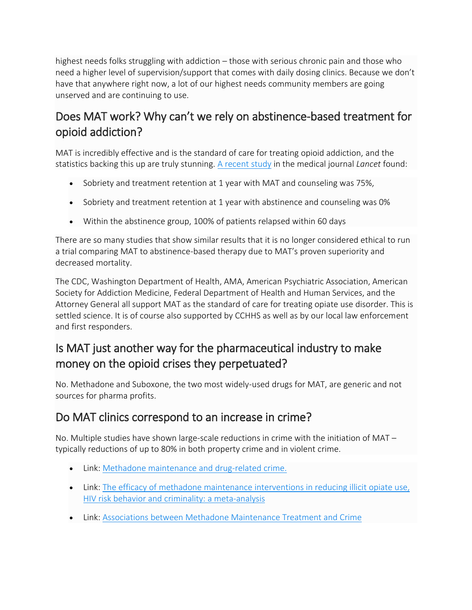highest needs folks struggling with addiction – those with serious chronic pain and those who need a higher level of supervision/support that comes with daily dosing clinics. Because we don't have that anywhere right now, a lot of our highest needs community members are going unserved and are continuing to use.

# Does MAT work? Why can't we rely on abstinence-based treatment for opioid addiction?

MAT is incredibly effective and is the standard of care for treating opioid addiction, and the statistics backing this up are truly stunning. A [recent](https://www.thelancet.com/journals/lancet/article/PIIS0140-6736(03)12600-1/fulltext) study in the medical journal *Lancet* found:

- Sobriety and treatment retention at 1 year with MAT and counseling was 75%,
- Sobriety and treatment retention at 1 year with abstinence and counseling was 0%
- Within the abstinence group, 100% of patients relapsed within 60 days

There are so many studies that show similar results that it is no longer considered ethical to run a trial comparing MAT to abstinence-based therapy due to MAT's proven superiority and decreased mortality.

The CDC, Washington Department of Health, AMA, American Psychiatric Association, American Society for Addiction Medicine, Federal Department of Health and Human Services, and the Attorney General all support MAT as the standard of care for treating opiate use disorder. This is settled science. It is of course also supported by CCHHS as well as by our local law enforcement and first responders.

# Is MAT just another way for the pharmaceutical industry to make money on the opioid crises they perpetuated?

No. Methadone and Suboxone, the two most widely-used drugs for MAT, are generic and not sources for pharma profits.

### Do MAT clinics correspond to an increase in crime?

No. Multiple studies have shown large-scale reductions in crime with the initiation of MAT – typically reductions of up to 80% in both property crime and in violent crime.

- Link: Methadone [maintenance](https://www.ncbi.nlm.nih.gov/pubmed/9494936) and drug-related crime.
- Link: The efficacy of methadone maintenance [interventions](https://onlinelibrary.wiley.com/doi/pdf/10.1046/j.1360-0443.1998.9345157.x) in reducing illicit opiate use, HIV risk behavior and criminality: a meta-analysis
- Link: Associations between Methadone [Maintenance](https://vault.sfu.ca/index.php/s/jTF9clAyz1iww3T#pdfviewer) Treatment and Crime